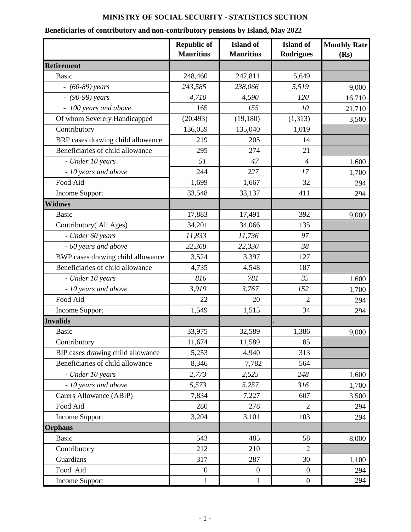## **MINISTRY OF SOCIAL SECURITY - STATISTICS SECTION**

## **Beneficiaries of contributory and non-contributory pensions by Island, May 2022**

|                                   | <b>Republic of</b><br><b>Mauritius</b> | <b>Island</b> of<br><b>Mauritius</b> | <b>Island</b> of<br><b>Rodrigues</b> | <b>Monthly Rate</b><br>(Rs) |
|-----------------------------------|----------------------------------------|--------------------------------------|--------------------------------------|-----------------------------|
| <b>Retirement</b>                 |                                        |                                      |                                      |                             |
| <b>Basic</b>                      | 248,460                                | 242,811                              | 5,649                                |                             |
| $- (60-89)$ years                 | 243,585                                | 238,066                              | 5,519                                | 9,000                       |
| $-$ (90-99) years                 | 4,710                                  | 4,590                                | 120                                  | 16,710                      |
| - 100 years and above             | 165                                    | 155                                  | 10                                   | 21,710                      |
| Of whom Severely Handicapped      | (20, 493)                              | (19, 180)                            | (1,313)                              | 3,500                       |
| Contributory                      | 136,059                                | 135,040                              | 1,019                                |                             |
| BRP cases drawing child allowance | 219                                    | 205                                  | 14                                   |                             |
| Beneficiaries of child allowance  | 295                                    | 274                                  | 21                                   |                             |
| - Under 10 years                  | 51                                     | 47                                   | $\overline{4}$                       | 1,600                       |
| - 10 years and above              | 244                                    | 227                                  | 17                                   | 1,700                       |
| Food Aid                          | 1,699                                  | 1,667                                | 32                                   | 294                         |
| Income Support                    | 33,548                                 | 33,137                               | 411                                  | 294                         |
| <b>Widows</b>                     |                                        |                                      |                                      |                             |
| <b>Basic</b>                      | 17,883                                 | 17,491                               | 392                                  | 9,000                       |
| Contributory (All Ages)           | 34,201                                 | 34,066                               | 135                                  |                             |
| - Under 60 years                  | 11,833                                 | 11,736                               | 97                                   |                             |
| - 60 years and above              | 22,368                                 | 22,330                               | 38                                   |                             |
| BWP cases drawing child allowance | 3,524                                  | 3,397                                | 127                                  |                             |
| Beneficiaries of child allowance  | 4,735                                  | 4,548                                | 187                                  |                             |
| - Under 10 years                  | 816                                    | 781                                  | 35                                   | 1,600                       |
| - 10 years and above              | 3,919                                  | 3,767                                | 152                                  | 1,700                       |
| Food Aid                          | 22                                     | 20                                   | 2                                    | 294                         |
| <b>Income Support</b>             | 1,549                                  | 1,515                                | 34                                   | 294                         |
| <b>Invalids</b>                   |                                        |                                      |                                      |                             |
| Basic                             | 33,975                                 | 32,589                               | 1,386                                | 9,000                       |
| Contributory                      | 11,674                                 | 11,589                               | 85                                   |                             |
| BIP cases drawing child allowance | 5,253                                  | 4,940                                | 313                                  |                             |
| Beneficiaries of child allowance  | 8,346                                  | 7,782                                | 564                                  |                             |
| - Under 10 years                  | 2,773                                  | 2,525                                | 248                                  | 1,600                       |
| - 10 years and above              | 5,573                                  | 5,257                                | 316                                  | 1,700                       |
| Carers Allowance (ABIP)           | 7,834                                  | 7,227                                | 607                                  | 3,500                       |
| Food Aid                          | 280                                    | 278                                  | $\overline{2}$                       | 294                         |
| Income Support                    | 3,204                                  | 3,101                                | 103                                  | 294                         |
| <b>Orphans</b>                    |                                        |                                      |                                      |                             |
| <b>Basic</b>                      | 543                                    | 485                                  | 58                                   | 8,000                       |
| Contributory                      | 212                                    | 210                                  | $\overline{2}$                       |                             |
| Guardians                         | 317                                    | 287                                  | 30                                   | 1,100                       |
| Food Aid                          | $\boldsymbol{0}$                       | $\boldsymbol{0}$                     | $\boldsymbol{0}$                     | 294                         |
| Income Support                    | 1                                      | 1                                    | $\boldsymbol{0}$                     | 294                         |